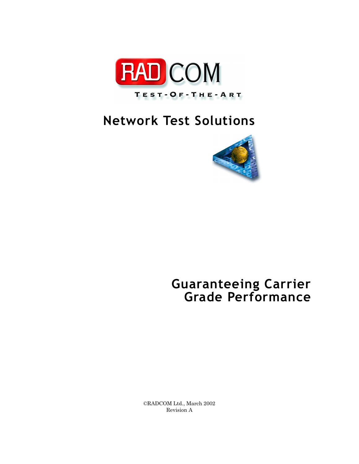

# **Network Test Solutions**



# **Guaranteeing Carrier Grade Performance**

©RADCOM Ltd., March 2002 Revision A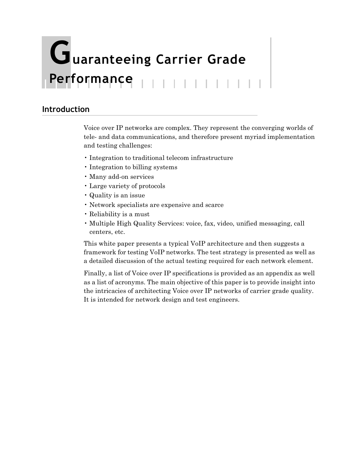# **Guaranteeing Carrier Grade Performance**

### **Introduction**

Voice over IP networks are complex. They represent the converging worlds of tele- and data communications, and therefore present myriad implementation and testing challenges:

- Integration to traditional telecom infrastructure
- Integration to billing systems
- Many add-on services
- Large variety of protocols
- Quality is an issue
- Network specialists are expensive and scarce
- Reliability is a must
- Multiple High Quality Services: voice, fax, video, unified messaging, call centers, etc.

This white paper presents a typical VoIP architecture and then suggests a framework for testing VoIP networks. The test strategy is presented as well as a detailed discussion of the actual testing required for each network element.

Finally, a list of Voice over IP specifications is provided as an appendix as well as a list of acronyms. The main objective of this paper is to provide insight into the intricacies of architecting Voice over IP networks of carrier grade quality. It is intended for network design and test engineers.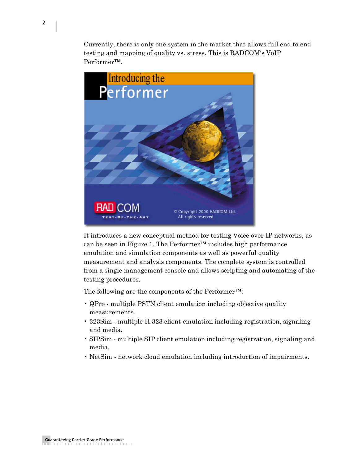Currently, there is only one system in the market that allows full end to end testing and mapping of quality vs. stress. This is RADCOM's VoIP Performer™.



It introduces a new conceptual method for testing Voice over IP networks, as can be seen in Figure 1. The Performer™ includes high performance emulation and simulation components as well as powerful quality measurement and analysis components. The complete system is controlled from a single management console and allows scripting and automating of the testing procedures.

The following are the components of the Performer™:

- QPro multiple PSTN client emulation including objective quality measurements.
- 323Sim multiple H.323 client emulation including registration, signaling and media.
- SIPSim multiple SIP client emulation including registration, signaling and media.
- NetSim network cloud emulation including introduction of impairments.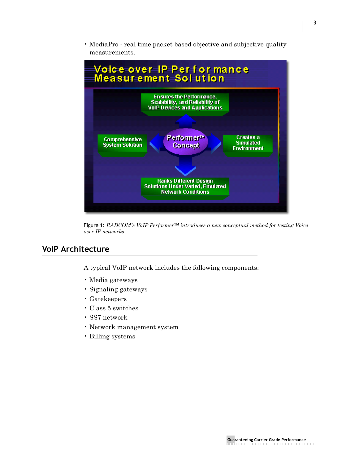• MediaPro - real time packet based objective and subjective quality measurements.



Figure 1: *RADCOM's VoIP Performer™ introduces a new conceptual method for testing Voice over IP networks*

### **VoIP Architecture**

A typical VoIP network includes the following components:

- Media gateways
- Signaling gateways
- Gatekeepers
- Class 5 switches
- SS7 network
- Network management system
- Billing systems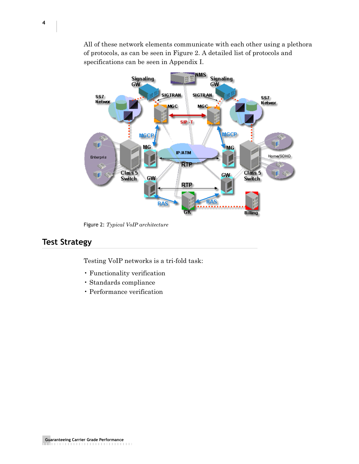All of these network elements communicate with each other using a plethora of protocols, as can be seen in Figure 2. A detailed list of protocols and specifications can be seen in Appendix I.



Figure 2: *Typical VoIP architecture*

#### **Test Strategy**

Testing VoIP networks is a tri-fold task:

- Functionality verification
- Standards compliance
- Performance verification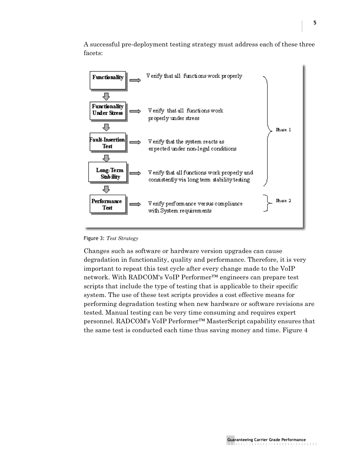A successful pre-deployment testing strategy must address each of these three facets:

| Functionality                               | V erify that all-functions work properly-                                                   |         |
|---------------------------------------------|---------------------------------------------------------------------------------------------|---------|
| <b>Functionality</b><br><b>Under Stress</b> | V erify that all functions work<br>properly under stress                                    | Phase 1 |
| Fault-Insertion <br>Test                    | V erify that the system reacts as<br>expected under non-legal conditions                    |         |
| Long-Term<br>Stab ility                     | Verify that all functions work properly and<br>consistently via long term stability testing |         |
| Performance<br>Test                         | V erify performance versus compliance<br>with System requirements                           | Phase 2 |



Changes such as software or hardware version upgrades can cause degradation in functionality, quality and performance. Therefore, it is very important to repeat this test cycle after every change made to the VoIP network. With RADCOM's VoIP Performer™ engineers can prepare test scripts that include the type of testing that is applicable to their specific system. The use of these test scripts provides a cost effective means for performing degradation testing when new hardware or software revisions are tested. Manual testing can be very time consuming and requires expert personnel. RADCOM's VoIP Performer™ MasterScript capability ensures that the same test is conducted each time thus saving money and time. Figure 4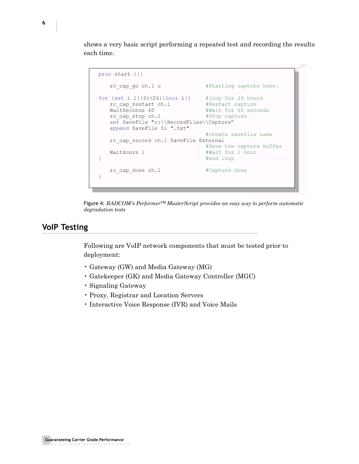shows a very basic script performing a repeated test and recording the results each time.

```
proc start {}{
   rc_cap_go ch.1 u
                                  #Starting capture here.
for \{set i 1\}{$i<24}{incr i}{
                                #loop for 24 hours
                                 #Restart capture
   rc cap restart ch.1
                                 #Wait for 60 seconds
   WaitSeconds 60
   rc_cap_stop_ch.1
                                 #Stop capture
   set SaveFile "c:\\RecordFiles\\Capture"
   append SaveFile $i ".txt"
                                  #create savefile name
   rc cap record ch.1 SaveFile External
                                  #Save the capture buffer
   WaitHours 1
                                  #Wait for 1 hour
                                  #end loop
\mathcal{Y}rc cap done ch.1
                                  #Capture done
}
```
Figure 4: *RADCOM's Performer™ MasterScript provides an easy way to perform automatic degradation tests*

#### **VoIP Testing**

Following are VoIP network components that must be tested prior to deployment:

- Gateway (GW) and Media Gateway (MG)
- Gatekeeper (GK) and Media Gateway Controller (MGC)
- Signaling Gateway
- Proxy, Registrar and Location Servers
- Interactive Voice Response (IVR) and Voice Mails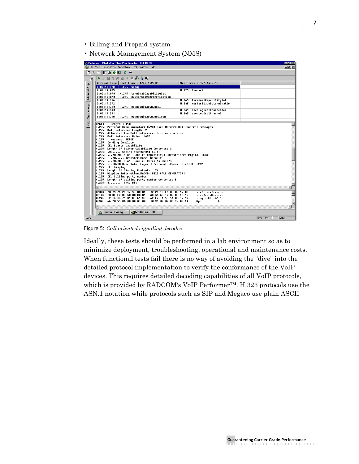- Billing and Prepaid system
- Network Management System (NMS)

|                   | Performer - [MediaPro, ThreePan Signaling: Call ID 33]<br>St File View Configuration Applications Tools Window Help                                                                                                                                                                                                                                                                                                                                                                                                                                                                                                                                                                 |                                                               | - I FI X<br>$  E  \times$ |
|-------------------|-------------------------------------------------------------------------------------------------------------------------------------------------------------------------------------------------------------------------------------------------------------------------------------------------------------------------------------------------------------------------------------------------------------------------------------------------------------------------------------------------------------------------------------------------------------------------------------------------------------------------------------------------------------------------------------|---------------------------------------------------------------|---------------------------|
|                   | 下色击<br>BAAE<br>ገም                                                                                                                                                                                                                                                                                                                                                                                                                                                                                                                                                                                                                                                                   |                                                               |                           |
|                   | 2 日下巴許 > Ⅱ 晶含句                                                                                                                                                                                                                                                                                                                                                                                                                                                                                                                                                                                                                                                                      |                                                               |                           |
|                   | Arrival time<br>Sent from : 172:16:2:12                                                                                                                                                                                                                                                                                                                                                                                                                                                                                                                                                                                                                                             | Sent from : 172:16:2:13                                       |                           |
| Channel App       | 0:00:18:923<br>H.225 Setup                                                                                                                                                                                                                                                                                                                                                                                                                                                                                                                                                                                                                                                          |                                                               |                           |
|                   | 0:00:19:065                                                                                                                                                                                                                                                                                                                                                                                                                                                                                                                                                                                                                                                                         | H.225 Connect                                                 |                           |
|                   | 8:88:19:878<br>terminalCapabilituSet<br>H.245                                                                                                                                                                                                                                                                                                                                                                                                                                                                                                                                                                                                                                       |                                                               |                           |
|                   | masterSlaveDetermination<br>0:00:19:070<br>H.245                                                                                                                                                                                                                                                                                                                                                                                                                                                                                                                                                                                                                                    |                                                               |                           |
|                   | 8:88:19:156                                                                                                                                                                                                                                                                                                                                                                                                                                                                                                                                                                                                                                                                         | terminalCapabilitySet<br>H.245                                |                           |
|                   | 0:00:19:272                                                                                                                                                                                                                                                                                                                                                                                                                                                                                                                                                                                                                                                                         | masterSlaveDetermination<br>H.245                             |                           |
|                   | 0:00:19:290<br>H.245<br>openLogicalChannel                                                                                                                                                                                                                                                                                                                                                                                                                                                                                                                                                                                                                                          |                                                               |                           |
|                   | 0:00:19:390<br>8:88:19:391                                                                                                                                                                                                                                                                                                                                                                                                                                                                                                                                                                                                                                                          | H.245<br>openLogicalChannelAck<br>openLogicalChannel<br>H.245 |                           |
|                   | 0:00:19:398<br>H.245<br>openLogicalChannelAck                                                                                                                                                                                                                                                                                                                                                                                                                                                                                                                                                                                                                                       |                                                               |                           |
| Multi Channel App |                                                                                                                                                                                                                                                                                                                                                                                                                                                                                                                                                                                                                                                                                     |                                                               |                           |
|                   | Length $: 150$<br>Ітркт:                                                                                                                                                                                                                                                                                                                                                                                                                                                                                                                                                                                                                                                            |                                                               |                           |
|                   | H.225: Call Reference Value: 3636<br>H.225: message: SETUP<br>H.225: Sending Complete<br>H.225: IE: Bearer capabilitu<br>H.225: Length Of Bearer Capability Contents: 3<br>H.225: .00 Coding Standards: CCITT<br>H.225: 00000 Info' Transfer Capability: Unrestricted Digital Info'<br>H.225:<br>.00 Transfer Mode: Circuit<br>H.225: 00000 Info' Transfer Rate: 64 kbit/s<br>H.225: 00000 User Info. Layer 1 Protocol :Recom' H.221 & H.242<br>H.225: IE: Displau<br>H.225: Length Of Display Contents : 27<br>H.225: Display Information:RADCOM H323 CALL GENERATOR1<br>H.225: IE: Calling party number<br>H.225: Length of calling party number contents: 5<br>H.225: 1 Ext. bit |                                                               |                           |
|                   | 团                                                                                                                                                                                                                                                                                                                                                                                                                                                                                                                                                                                                                                                                                   |                                                               |                           |
|                   | 8888:<br>00 04 76 28 19 45 00 01<br>02 2A 18 FA 08 00 45 00                                                                                                                                                                                                                                                                                                                                                                                                                                                                                                                                                                                                                         | $1.0*.E.1.*.1.1E.$                                            |                           |
|                   | 6616:<br>00 BE F2 BB 40 00 80 06<br>AB 44 AC 18 82 8C AC 18                                                                                                                                                                                                                                                                                                                                                                                                                                                                                                                                                                                                                         | @D                                                            |                           |
|                   | 02 00 00 71 06 B8 A6 38 42 F9 1A 53 5A 03 50 18<br>0020.                                                                                                                                                                                                                                                                                                                                                                                                                                                                                                                                                                                                                            | a8BSZ.P.                                                      |                           |
|                   | 0030: 44 70 55 84 00 00 03 00<br>00 96 08 02 0E 34 05 A1                                                                                                                                                                                                                                                                                                                                                                                                                                                                                                                                                                                                                            | DpU4                                                          |                           |
|                   | $\left\vert 1\right\rangle$                                                                                                                                                                                                                                                                                                                                                                                                                                                                                                                                                                                                                                                         |                                                               |                           |
|                   |                                                                                                                                                                                                                                                                                                                                                                                                                                                                                                                                                                                                                                                                                     |                                                               |                           |
|                   | <b>A</b> Channel Config<br>MediaPro, Call                                                                                                                                                                                                                                                                                                                                                                                                                                                                                                                                                                                                                                           |                                                               |                           |

Figure 5: *Call oriented signaling decodes*

Ideally, these tests should be performed in a lab environment so as to minimize deployment, troubleshooting, operational and maintenance costs. When functional tests fail there is no way of avoiding the "dive" into the detailed protocol implementation to verify the conformance of the VoIP devices. This requires detailed decoding capabilities of all VoIP protocols, which is provided by RADCOM's VoIP Performer™. H.323 protocols use the ASN.1 notation while protocols such as SIP and Megaco use plain ASCII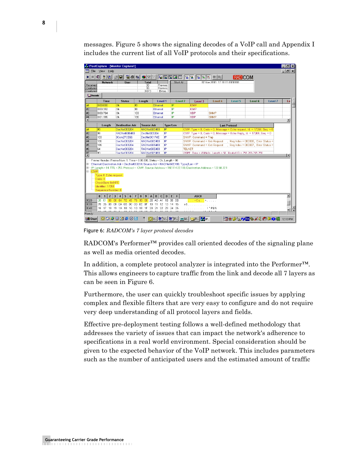messages. Figure 5 shows the signaling decodes of a VoIP call and Appendix I includes the current list of all VoIP protocols and their specifications.

| File                                             | View Help                                                                                                                                                   | PostCapture - [Monitor Capture1]                    |                                      |                               |             |                                                                                                                      |                             |                                   |                                    |         | 円                     |
|--------------------------------------------------|-------------------------------------------------------------------------------------------------------------------------------------------------------------|-----------------------------------------------------|--------------------------------------|-------------------------------|-------------|----------------------------------------------------------------------------------------------------------------------|-----------------------------|-----------------------------------|------------------------------------|---------|-----------------------|
|                                                  | T & B  <br>KOI                                                                                                                                              | $\blacksquare$ $\blacksquare$                       | $\bigcirc$ $\bigcirc$ $\bigcirc$     |                               |             | 2600000000000000000                                                                                                  |                             |                                   |                                    |         | - 리 ×                 |
|                                                  | <b>Network</b>                                                                                                                                              | <b>Ilser</b>                                        | Total                                |                               | Start At:   |                                                                                                                      | 07-Nov-2000 17:10:01 000000 | <b>RAD COM</b>                    |                                    |         |                       |
| Received<br>Captured                             |                                                                                                                                                             |                                                     | 33                                   | Frames.                       |             |                                                                                                                      |                             |                                   |                                    |         |                       |
| Captured                                         |                                                                                                                                                             |                                                     | 33<br>3.073                          | <b>Frames</b><br><b>Bytes</b> |             |                                                                                                                      |                             |                                   |                                    |         |                       |
| <b>Decode</b>                                    |                                                                                                                                                             |                                                     |                                      |                               |             |                                                                                                                      |                             |                                   |                                    |         |                       |
|                                                  | <b>Time</b>                                                                                                                                                 | <b>Status</b>                                       | Length                               | Level 1                       | Level 2     | Level 3                                                                                                              | Level 4                     | Level 5                           | Level 6                            | Level 7 | Le                    |
| #1                                               | 0:00.000                                                                                                                                                    | Ok                                                  | 98                                   | Ethernet                      | ÎΡ          | <b>ICMP</b>                                                                                                          |                             |                                   |                                    |         |                       |
| #2                                               | 0:00.392                                                                                                                                                    | Ok                                                  | 98                                   | Ethernet                      | <b>IP</b>   | <b>ICMP</b>                                                                                                          |                             |                                   |                                    |         |                       |
| #3                                               | 0:00.784                                                                                                                                                    | Ok                                                  | 103                                  | Ethernet                      | IP          | <b>UDP</b>                                                                                                           | <b>SNMP</b>                 |                                   |                                    |         |                       |
| $\frac{1}{4}$                                    | 0:01.196                                                                                                                                                    | Ok                                                  | 185                                  | Ethernet                      | <b>IP</b>   | UDP                                                                                                                  | SNMP                        |                                   |                                    |         | $\blacktriangleright$ |
|                                                  | Length                                                                                                                                                      | <b>Destination Adr</b>                              | <b>Source Adr</b>                    |                               | Type/Len    |                                                                                                                      |                             | <b>Last Protocol</b>              |                                    |         |                       |
| #1                                               | 98                                                                                                                                                          | DecNet003204                                        | RADNet60E480                         |                               | İIP         | ICMP: Type = 8, Code = 0, Message = Echo request, Id. = 17269, Seg. = 0                                              |                             |                                   |                                    |         |                       |
| #2                                               | 98                                                                                                                                                          | RADNet60E480                                        | DecNet003204                         |                               | IP          | ICMP: Type = 0, Code = 0, Message = Echo Reply, Id. = 17269, Seq. = 0                                                |                             |                                   |                                    |         |                       |
| #3                                               | 103                                                                                                                                                         | 3Com27CB66                                          | DecNet3C174E                         |                               | IP          | SNMP: Command = Trap                                                                                                 |                             |                                   |                                    |         |                       |
| #4                                               | 185                                                                                                                                                         | DecNet003204                                        | RADNet60E480                         |                               | IP          | SNMP: Command = Get-Request                                                                                          |                             |                                   | Reg Index = 00D005, Error Status = |         |                       |
| #5                                               | 185                                                                                                                                                         | DecNet003204                                        | RADNet60E480                         |                               | IP          | SNMP: Command = Get-Request                                                                                          |                             |                                   | Reg Index = 000007, Error Status = |         |                       |
| #6                                               | 64                                                                                                                                                          | DecNet003204                                        | RADNet60E480                         |                               | IP          | TELNET:                                                                                                              |                             |                                   |                                    |         |                       |
| E                                                | lan                                                                                                                                                         | DecNet003204                                        | RADNet60F480                         |                               | IP          | OSPE: Type = (1)Hello, Length = 56, Routed ID = 255 255 255 255                                                      |                             |                                   |                                    |         |                       |
|                                                  | Frame Header: Frame Num: 1, Time = 0:00.000, Status = Ok, Length = 98<br>Ethernet: Destination Adr = DecNet003204, Source Adr = RADNet60E480, Type/Len = IP |                                                     |                                      |                               |             |                                                                                                                      |                             |                                   |                                    |         |                       |
|                                                  |                                                                                                                                                             |                                                     |                                      |                               |             |                                                                                                                      |                             |                                   |                                    |         |                       |
|                                                  |                                                                                                                                                             |                                                     |                                      |                               |             | El-- IP; Length = 84, TTL = 253, Protocol = ICMP, Source Address = 192,114,22,100, Destination Address = 132,66,32.1 |                             |                                   |                                    |         |                       |
| <b>E-ICMP</b>                                    |                                                                                                                                                             |                                                     |                                      |                               |             |                                                                                                                      |                             |                                   |                                    |         |                       |
|                                                  | Type: 8 Echo request                                                                                                                                        |                                                     |                                      |                               |             |                                                                                                                      |                             |                                   |                                    |         |                       |
|                                                  | Code: 0                                                                                                                                                     |                                                     |                                      |                               |             |                                                                                                                      |                             |                                   |                                    |         |                       |
|                                                  | CheckSum: 0x847E                                                                                                                                            |                                                     |                                      |                               |             |                                                                                                                      |                             |                                   |                                    |         |                       |
|                                                  | Identifier: 17269                                                                                                                                           |                                                     |                                      |                               |             |                                                                                                                      |                             |                                   |                                    |         |                       |
|                                                  | Sequence Number: 0                                                                                                                                          |                                                     |                                      |                               |             |                                                                                                                      |                             |                                   |                                    |         |                       |
|                                                  | $\overline{2}$<br>$\bf{0}$<br>$\mathbf{1}$                                                                                                                  | 5<br>$\overline{\mathbf{3}}$<br>6<br>$\overline{4}$ | $\overline{7}$<br>8<br>9<br>$\Delta$ | $\mathsf{C}$<br>B             | E<br>E<br>D | <b>ASCII</b>                                                                                                         |                             |                                   |                                    |         |                       |
|                                                  | $20 \t 01 \t 08$                                                                                                                                            | 00 84 7E 43 75 00 00 2B AD A1 1B 00 0B              |                                      |                               |             | u <mark>luck∼Cucc∔</mark> couc                                                                                       |                             |                                   |                                    |         |                       |
|                                                  |                                                                                                                                                             | 78 35 08 09 0A 0B 0C 0D 0E 0F 10 11 12 13 14 15     |                                      |                               |             | x5.                                                                                                                  |                             |                                   |                                    |         |                       |
|                                                  |                                                                                                                                                             | 16 17 18 19 1A 1B 1C 1D 1E 1F 20 21 22 23 24 25     |                                      |                               |             | . 1 " #\$%                                                                                                           |                             |                                   |                                    |         |                       |
| 0020<br>0030<br>0040<br>Ready<br><b>BR</b> Start |                                                                                                                                                             | 09390608                                            |                                      |                               |             |                                                                                                                      |                             | <b>۳7∀⊘ → ™ → ∡∢⊘ூ ∰</b> 12:13 PM |                                    |         |                       |

Figure 6: *RADCOM's 7 layer protocol decodes*

RADCOM's Performer™ provides call oriented decodes of the signaling plane as well as media oriented decodes.

In addition, a complete protocol analyzer is integrated into the Performer™. This allows engineers to capture traffic from the link and decode all 7 layers as can be seen in Figure 6.

Furthermore, the user can quickly troubleshoot specific issues by applying complex and flexible filters that are very easy to configure and do not require very deep understanding of all protocol layers and fields.

Effective pre-deployment testing follows a well-defined methodology that addresses the variety of issues that can impact the network's adherence to specifications in a real world environment. Special consideration should be given to the expected behavior of the VoIP network. This includes parameters such as the number of anticipated users and the estimated amount of traffic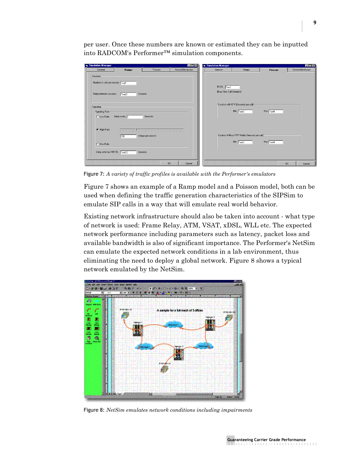per user. Once these numbers are known or estimated they can be inputted into RADCOM's Performer™ simulation components.



Figure 7: *A variety of traffic profiles is available with the Performer's emulators*

Figure 7 shows an example of a Ramp model and a Poisson model, both can be used when defining the traffic generation characteristics of the SIPSim to emulate SIP calls in a way that will emulate real world behavior.

Existing network infrastructure should also be taken into account - what type of network is used: Frame Relay, ATM, VSAT, xDSL, WLL etc. The expected network performance including parameters such as latency, packet loss and available bandwidth is also of significant importance. The Performer's NetSim can emulate the expected network conditions in a lab environment, thus eliminating the need to deploy a global network. Figure 8 shows a typical network emulated by the NetSim.



Figure 8: *NetSim emulates network conditions including impairments*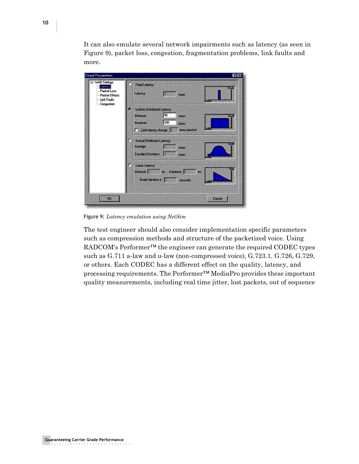It can also emulate several network impairments such as latency (as seen in Figure 9), packet loss, congestion, fragmentation problems, link faults and more.

| <b>Doub Parameters</b>                                                                         |                                                                                                                                                   | <b>RB</b> |
|------------------------------------------------------------------------------------------------|---------------------------------------------------------------------------------------------------------------------------------------------------|-----------|
| <b>B-WWI Setings</b><br><b>Little</b><br><b>Parket Lass</b><br>- Packet Effects<br>Link Faults | ۵<br>Fired Latency<br>Lakeray<br>motic                                                                                                            | œ<br>m    |
| - Congestion                                                                                   | Uniform Distributed Latence<br>50<br><b>Minimum</b><br>neso<br>100<br>Maximum<br>need<br><b>STREET STREET</b><br><b>C.</b> Limitatency change [8] |           |
|                                                                                                | <b>Car Henrid Dimituled Latency.</b><br><b>Average</b><br>nosci<br>Standard Deviation - 1874<br>nato                                              | œ         |
|                                                                                                | <b>C</b> in Linear Latency<br>Ninnan D. Nadauti 10.<br><b>We</b><br>Einspieldunkten in 1977<br><b>seconds</b>                                     |           |
| GK.                                                                                            |                                                                                                                                                   | Cancel    |

Figure 9: *Latency emulation using NetSim*

The test engineer should also consider implementation specific parameters such as compression methods and structure of the packetized voice. Using RADCOM's Performer<sup>™</sup> the engineer can generate the required CODEC types such as G.711 a-law and u-law (non-compressed voice), G.723.1, G.726, G.729, or others. Each CODEC has a different effect on the quality, latency, and processing requirements. The Performer™ MediaPro provides these important quality measurements, including real time jitter, lost packets, out of sequence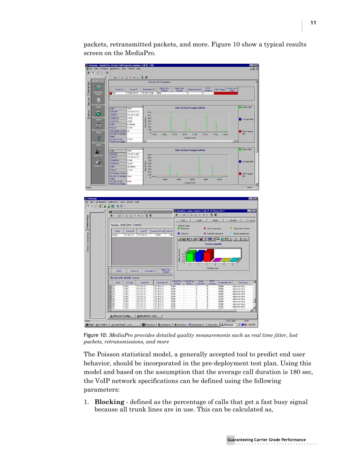packets, retransmitted packets, and more. Figure 10 show a typical results screen on the MediaPro.



Figure 10: *MediaPro provides detailed quality measurements such as real time jitter, lost packets, retransmissions, and more*

The Poisson statistical model, a generally accepted tool to predict end user behavior, should be incorporated in the pre-deployment test plan. Using this model and based on the assumption that the average call duration is 180 sec, the VoIP network specifications can be defined using the following parameters:

1. **Blocking** - defined as the percentage of calls that get a fast busy signal because all trunk lines are in use. This can be calculated as,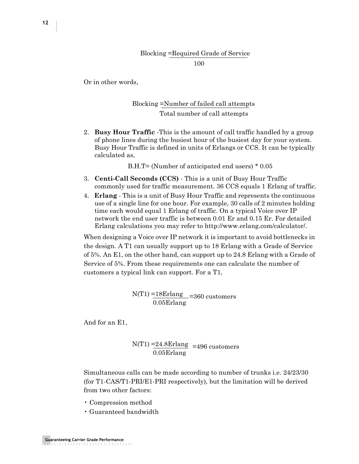#### Blocking =Required Grade of Service 100

Or in other words,

Blocking =Number of failed call attempts Total number of call attempts

2. **Busy Hour Traffic** -This is the amount of call traffic handled by a group of phone lines during the busiest hour of the busiest day for your system. Busy Hour Traffic is defined in units of Erlangs or CCS. It can be typically calculated as,

B.H.T= (Number of anticipated end users) \* 0.05

- 3. **Centi-Call Seconds (CCS)** This is a unit of Busy Hour Traffic commonly used for traffic measurement. 36 CCS equals 1 Erlang of traffic.
- 4. **Erlang**  This is a unit of Busy Hour Traffic and represents the continuous use of a single line for one hour. For example, 30 calls of 2 minutes holding time each would equal 1 Erlang of traffic. On a typical Voice over IP network the end user traffic is between 0.01 Er and 0.15 Er. For detailed Erlang calculations you may refer to http://www.erlang.com/calculator/.

When designing a Voice over IP network it is important to avoid bottlenecks in the design. A T1 can usually support up to 18 Erlang with a Grade of Service of 5%. An E1, on the other hand, can support up to 24.8 Erlang with a Grade of Service of 5%. From these requirements one can calculate the number of customers a typical link can support. For a T1,

> $N(T1) = 18E$ rlang 0.05Erlang =360 customers

And for an E1,

$$
N(T1) = 24.8Erlang = 496 customers
$$
  
0.05Erlang

Simultaneous calls can be made according to number of trunks i.e. 24/23/30 (for T1-CAS/T1-PRI/E1-PRI respectively), but the limitation will be derived from two other factors:

- Compression method
- Guaranteed bandwidth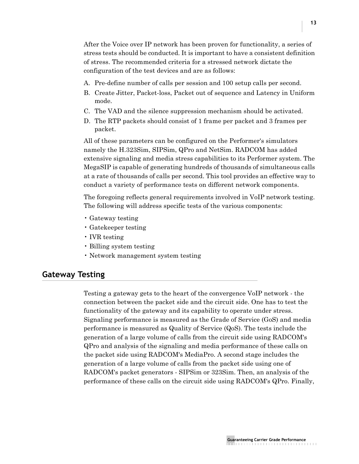After the Voice over IP network has been proven for functionality, a series of stress tests should be conducted. It is important to have a consistent definition of stress. The recommended criteria for a stressed network dictate the configuration of the test devices and are as follows:

- A. Pre-define number of calls per session and 100 setup calls per second.
- B. Create Jitter, Packet-loss, Packet out of sequence and Latency in Uniform mode.
- C. The VAD and the silence suppression mechanism should be activated.
- D. The RTP packets should consist of 1 frame per packet and 3 frames per packet.

All of these parameters can be configured on the Performer's simulators namely the H.323Sim, SIPSim, QPro and NetSim. RADCOM has added extensive signaling and media stress capabilities to its Performer system. The MegaSIP is capable of generating hundreds of thousands of simultaneous calls at a rate of thousands of calls per second. This tool provides an effective way to conduct a variety of performance tests on different network components.

The foregoing reflects general requirements involved in VoIP network testing. The following will address specific tests of the various components:

- Gateway testing
- Gatekeeper testing
- IVR testing
- Billing system testing
- Network management system testing

#### **Gateway Testing**

Testing a gateway gets to the heart of the convergence VoIP network - the connection between the packet side and the circuit side. One has to test the functionality of the gateway and its capability to operate under stress. Signaling performance is measured as the Grade of Service (GoS) and media performance is measured as Quality of Service (QoS). The tests include the generation of a large volume of calls from the circuit side using RADCOM's QPro and analysis of the signaling and media performance of these calls on the packet side using RADCOM's MediaPro. A second stage includes the generation of a large volume of calls from the packet side using one of RADCOM's packet generators - SIPSim or 323Sim. Then, an analysis of the performance of these calls on the circuit side using RADCOM's QPro. Finally,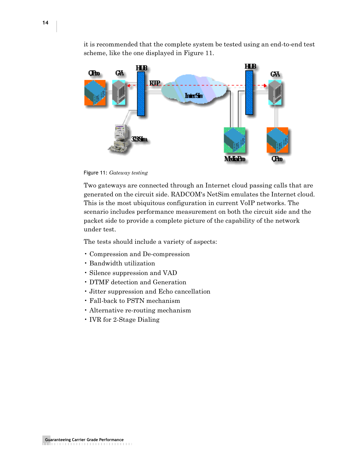it is recommended that the complete system be tested using an end-to-end test scheme, like the one displayed in Figure 11.



Figure 11: *Gateway testing*

Two gateways are connected through an Internet cloud passing calls that are generated on the circuit side. RADCOM's NetSim emulates the Internet cloud. This is the most ubiquitous configuration in current VoIP networks. The scenario includes performance measurement on both the circuit side and the packet side to provide a complete picture of the capability of the network under test.

The tests should include a variety of aspects:

- Compression and De-compression
- Bandwidth utilization
- Silence suppression and VAD
- DTMF detection and Generation
- Jitter suppression and Echo cancellation
- Fall-back to PSTN mechanism
- Alternative re-routing mechanism
- IVR for 2-Stage Dialing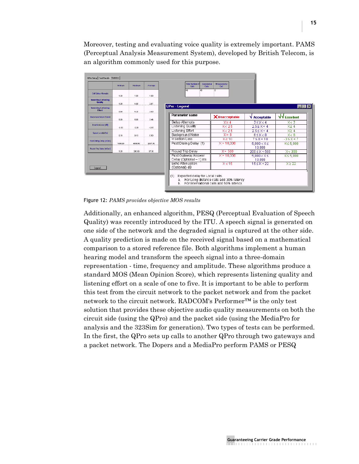Moreover, testing and evaluating voice quality is extremely important. PAMS (Perceptual Analysis Measurement System), developed by British Telecom, is an algorithm commonly used for this purpose.

| 1.00<br>1.00<br>1.00<br>4.00<br>0.64<br>4.32 | 1,00<br>2.51<br>2.53 | 46<br>46<br>QPro - Legend                      | n                     |                                                                             |                                         |
|----------------------------------------------|----------------------|------------------------------------------------|-----------------------|-----------------------------------------------------------------------------|-----------------------------------------|
|                                              |                      |                                                |                       |                                                                             |                                         |
|                                              |                      |                                                |                       |                                                                             |                                         |
|                                              |                      |                                                |                       |                                                                             |                                         |
| 0.00<br>5.00                                 | 2.48                 | Parameter name                                 | <b>X</b> Unacceptable | V Acceptable                                                                | $\sqrt{V}$ Excellent                    |
|                                              |                      | Setup Attempts                                 | $X \geq 4$            | $2 \le X < 4$                                                               | X < 2                                   |
| $-3.00$<br>$-2.90$                           | $-2.95$              | Listening Quality                              | X < 2.5               | $2.5 \leq X \leq 4$                                                         | $X \geq 4$                              |
|                                              |                      | <b>Listening Effort</b>                        | X < 2.5               | $2.5 \le X < 4$                                                             | $X \geq 4$                              |
| 0.10<br>0.10                                 | 0.10                 | Background Noise                               | X > 8                 | $6 \leq X < 8$                                                              | X < 6                                   |
|                                              |                      | Insertion Loss                                 | $X \geq 10$           | $7 \leq X \leq 10$                                                          | $-3 \leq X \leq 7$                      |
| 1006.00<br>4806.00                           | 2837.76              | Post Dialing Delay (1)                         | X > 10,000            | $5.000 < X \leq$<br>10,000                                                  | $X \leq 5,000$                          |
| 1.00<br>200.00                               | 97.50                | Round Trip Delay                               | X > 500               | $200 \le X \le 500$                                                         | X < 200                                 |
|                                              |                      | Post Gateway Answer<br>Delay (Optional - 1) ms | X > 10,000            | $5,000 < X \leq$<br>10,000                                                  | $X \leq 5,000$                          |
|                                              |                      | Echo Attenuation<br>(Optional) dB              | X < 15                | $15 \leq X \leq 22$                                                         | $X \geq 22$                             |
|                                              |                      |                                                | (1)<br>a.<br>b.       | Expected delay for Local calls.<br>For International calls add 50% latency. | For Long distance calls add 30% latency |

Figure 12: *PAMS provides objective MOS results*

Additionally, an enhanced algorithm, PESQ (Perceptual Evaluation of Speech Quality) was recently introduced by the ITU. A speech signal is generated on one side of the network and the degraded signal is captured at the other side. A quality prediction is made on the received signal based on a mathematical comparison to a stored reference file. Both algorithms implement a human hearing model and transform the speech signal into a three-domain representation - time, frequency and amplitude. These algorithms produce a standard MOS (Mean Opinion Score), which represents listening quality and listening effort on a scale of one to five. It is important to be able to perform this test from the circuit network to the packet network and from the packet network to the circuit network. RADCOM's Performer™ is the only test solution that provides these objective audio quality measurements on both the circuit side (using the QPro) and the packet side (using the MediaPro for analysis and the 323Sim for generation). Two types of tests can be performed. In the first, the QPro sets up calls to another QPro through two gateways and a packet network. The Dopers and a MediaPro perform PAMS or PESQ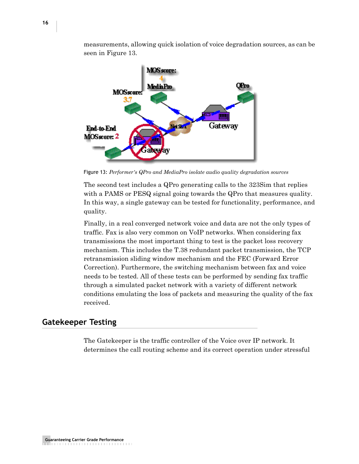

measurements, allowing quick isolation of voice degradation sources, as can be seen in Figure 13.

Figure 13: *Performer's QPro and MediaPro isolate audio quality degradation sources*

The second test includes a QPro generating calls to the 323Sim that replies with a PAMS or PESQ signal going towards the QPro that measures quality. In this way, a single gateway can be tested for functionality, performance, and quality.

Finally, in a real converged network voice and data are not the only types of traffic. Fax is also very common on VoIP networks. When considering fax transmissions the most important thing to test is the packet loss recovery mechanism. This includes the T.38 redundant packet transmission, the TCP retransmission sliding window mechanism and the FEC (Forward Error Correction). Furthermore, the switching mechanism between fax and voice needs to be tested. All of these tests can be performed by sending fax traffic through a simulated packet network with a variety of different network conditions emulating the loss of packets and measuring the quality of the fax received.

#### **Gatekeeper Testing**

The Gatekeeper is the traffic controller of the Voice over IP network. It determines the call routing scheme and its correct operation under stressful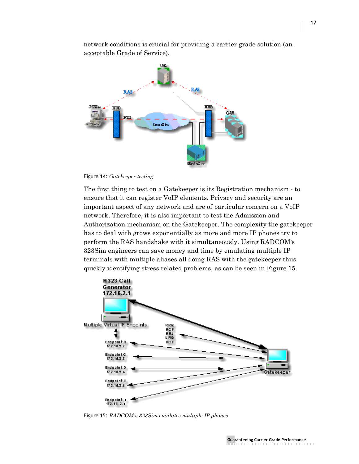

network conditions is crucial for providing a carrier grade solution (an acceptable Grade of Service).

Figure 14: *Gatekeeper testing*

The first thing to test on a Gatekeeper is its Registration mechanism - to ensure that it can register VoIP elements. Privacy and security are an important aspect of any network and are of particular concern on a VoIP network. Therefore, it is also important to test the Admission and Authorization mechanism on the Gatekeeper. The complexity the gatekeeper has to deal with grows exponentially as more and more IP phones try to perform the RAS handshake with it simultaneously. Using RADCOM's 323Sim engineers can save money and time by emulating multiple IP terminals with multiple aliases all doing RAS with the gatekeeper thus quickly identifying stress related problems, as can be seen in Figure 15.



Figure 15: *RADCOM's 323Sim emulates multiple IP phones*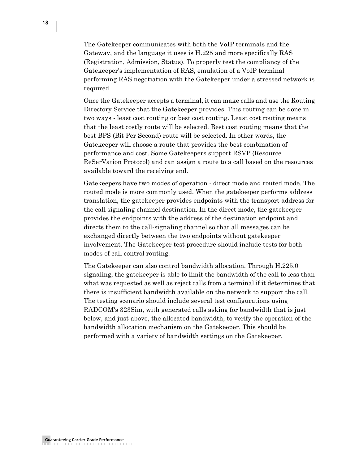The Gatekeeper communicates with both the VoIP terminals and the Gateway, and the language it uses is H.225 and more specifically RAS (Registration, Admission, Status). To properly test the compliancy of the Gatekeeper's implementation of RAS, emulation of a VoIP terminal performing RAS negotiation with the Gatekeeper under a stressed network is required.

Once the Gatekeeper accepts a terminal, it can make calls and use the Routing Directory Service that the Gatekeeper provides. This routing can be done in two ways - least cost routing or best cost routing. Least cost routing means that the least costly route will be selected. Best cost routing means that the best BPS (Bit Per Second) route will be selected. In other words, the Gatekeeper will choose a route that provides the best combination of performance and cost. Some Gatekeepers support RSVP (Resource ReSerVation Protocol) and can assign a route to a call based on the resources available toward the receiving end.

Gatekeepers have two modes of operation - direct mode and routed mode. The routed mode is more commonly used. When the gatekeeper performs address translation, the gatekeeper provides endpoints with the transport address for the call signaling channel destination. In the direct mode, the gatekeeper provides the endpoints with the address of the destination endpoint and directs them to the call-signaling channel so that all messages can be exchanged directly between the two endpoints without gatekeeper involvement. The Gatekeeper test procedure should include tests for both modes of call control routing.

The Gatekeeper can also control bandwidth allocation. Through H.225.0 signaling, the gatekeeper is able to limit the bandwidth of the call to less than what was requested as well as reject calls from a terminal if it determines that there is insufficient bandwidth available on the network to support the call. The testing scenario should include several test configurations using RADCOM's 323Sim, with generated calls asking for bandwidth that is just below, and just above, the allocated bandwidth, to verify the operation of the bandwidth allocation mechanism on the Gatekeeper. This should be performed with a variety of bandwidth settings on the Gatekeeper.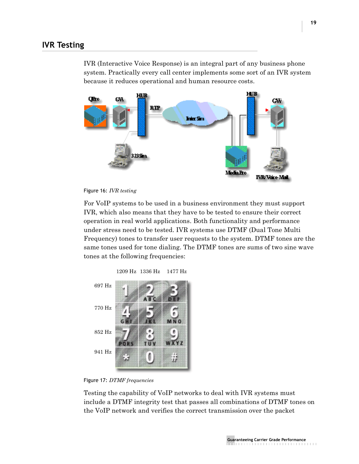IVR (Interactive Voice Response) is an integral part of any business phone system. Practically every call center implements some sort of an IVR system because it reduces operational and human resource costs.





For VoIP systems to be used in a business environment they must support IVR, which also means that they have to be tested to ensure their correct operation in real world applications. Both functionality and performance under stress need to be tested. IVR systems use DTMF (Dual Tone Multi Frequency) tones to transfer user requests to the system. DTMF tones are the same tones used for tone dialing. The DTMF tones are sums of two sine wave tones at the following frequencies:



Figure 17: *DTMF frequencies*

Testing the capability of VoIP networks to deal with IVR systems must include a DTMF integrity test that passes all combinations of DTMF tones on the VoIP network and verifies the correct transmission over the packet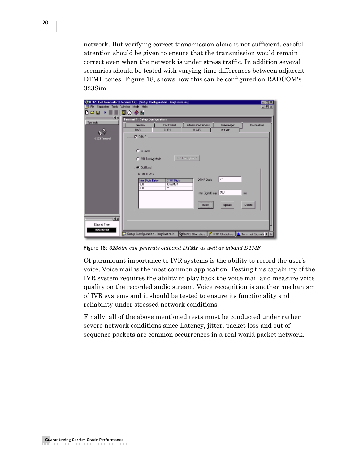network. But verifying correct transmission alone is not sufficient, careful attention should be given to ensure that the transmission would remain correct even when the network is under stress traffic. In addition several scenarios should be tested with varying time differences between adjacent DTMF tones. Figure 18, shows how this can be configured on RADCOM's 323Sim.

| File Simulation Tools Window Mode Help | CRH.323 Call Generator (Platinum Kit) - (Setup Configuration - longtimers.ini)<br>EEE<br>$-6x$                         |
|----------------------------------------|------------------------------------------------------------------------------------------------------------------------|
| DGB ▸ ██∥◘⊙ ◈ ₩                        |                                                                                                                        |
| 브뢰<br>Terminale                        | erninal 1: Setup Configuration                                                                                         |
|                                        | General<br>Call Epstral<br>Information Elements<br>Gatekeeper<br>Destinations                                          |
|                                        | <b>RAS</b><br>8.931<br>H.245<br><b>DTHF</b><br><b>IZ DTNF</b>                                                          |
| H 323 Terrinal                         |                                                                                                                        |
|                                        | C. In Band                                                                                                             |
|                                        |                                                                                                                        |
|                                        | - RE Configuration<br>C. NR Testing Mode                                                                               |
|                                        | <b>B</b> Dut Band                                                                                                      |
|                                        | <b>DTMFITEMS</b>                                                                                                       |
|                                        | l۶<br>DTMF Digits<br><b>Inter Digits Delay</b><br><b>DTMF Digits</b><br>300<br>4566943#                                |
|                                        | 300<br>74                                                                                                              |
|                                        | Inter Digits Delay, 300<br>ms                                                                                          |
|                                        | Delate<br>Update<br>Insert                                                                                             |
|                                        |                                                                                                                        |
|                                        |                                                                                                                        |
| <b>siz</b><br>Elapsed Time             |                                                                                                                        |
| 000:00:00                              |                                                                                                                        |
|                                        | Setup Configuration - longtimers.ini<br><b>WRAS Statistics</b>   /<br>RTP Statistics   11 Terminal Signalit 4   F<br>3 |

Figure 18: *323Sim can generate outband DTMF as well as inband DTMF*

Of paramount importance to IVR systems is the ability to record the user's voice. Voice mail is the most common application. Testing this capability of the IVR system requires the ability to play back the voice mail and measure voice quality on the recorded audio stream. Voice recognition is another mechanism of IVR systems and it should be tested to ensure its functionality and reliability under stressed network conditions.

Finally, all of the above mentioned tests must be conducted under rather severe network conditions since Latency, jitter, packet loss and out of sequence packets are common occurrences in a real world packet network.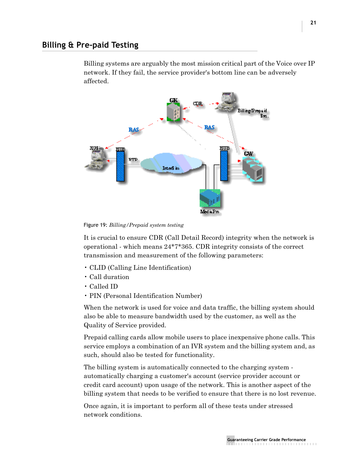Billing systems are arguably the most mission critical part of the Voice over IP network. If they fail, the service provider's bottom line can be adversely affected.



Figure 19: *Billing/Prepaid system testing*

It is crucial to ensure CDR (Call Detail Record) integrity when the network is operational - which means 24\*7\*365. CDR integrity consists of the correct transmission and measurement of the following parameters:

- CLID (Calling Line Identification)
- Call duration
- Called ID
- PIN (Personal Identification Number)

When the network is used for voice and data traffic, the billing system should also be able to measure bandwidth used by the customer, as well as the Quality of Service provided.

Prepaid calling cards allow mobile users to place inexpensive phone calls. This service employs a combination of an IVR system and the billing system and, as such, should also be tested for functionality.

The billing system is automatically connected to the charging system automatically charging a customer's account (service provider account or credit card account) upon usage of the network. This is another aspect of the billing system that needs to be verified to ensure that there is no lost revenue.

Once again, it is important to perform all of these tests under stressed network conditions.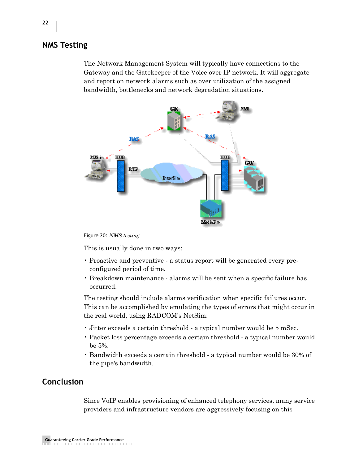#### **NMS Testing**

The Network Management System will typically have connections to the Gateway and the Gatekeeper of the Voice over IP network. It will aggregate and report on network alarms such as over utilization of the assigned bandwidth, bottlenecks and network degradation situations.





This is usually done in two ways:

- Proactive and preventive a status report will be generated every preconfigured period of time.
- Breakdown maintenance alarms will be sent when a specific failure has occurred.

The testing should include alarms verification when specific failures occur. This can be accomplished by emulating the types of errors that might occur in the real world, using RADCOM's NetSim:

- Jitter exceeds a certain threshold a typical number would be 5 mSec.
- Packet loss percentage exceeds a certain threshold a typical number would be 5%.
- Bandwidth exceeds a certain threshold a typical number would be 30% of the pipe's bandwidth.

#### **Conclusion**

Since VoIP enables provisioning of enhanced telephony services, many service providers and infrastructure vendors are aggressively focusing on this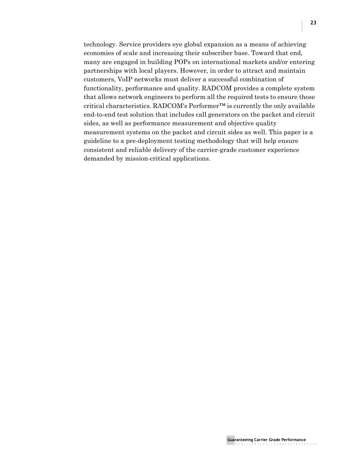technology. Service providers eye global expansion as a means of achieving economies of scale and increasing their subscriber base. Toward that end, many are engaged in building POPs on international markets and/or entering partnerships with local players. However, in order to attract and maintain customers, VoIP networks must deliver a successful combination of functionality, performance and quality. RADCOM provides a complete system that allows network engineers to perform all the required tests to ensure those critical characteristics. RADCOM's Performer™ is currently the only available end-to-end test solution that includes call generators on the packet and circuit sides, as well as performance measurement and objective quality measurement systems on the packet and circuit sides as well. This paper is a guideline to a pre-deployment testing methodology that will help ensure consistent and reliable delivery of the carrier-grade customer experience demanded by mission-critical applications.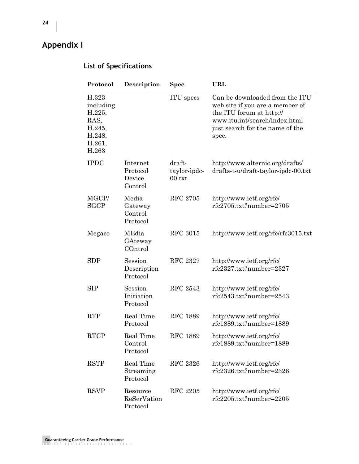## **Appendix I**

## **List of Specifications**

| Protocol                                                                    | Description                               | <b>Spec</b>                      | <b>URL</b>                                                                                                                                                                 |
|-----------------------------------------------------------------------------|-------------------------------------------|----------------------------------|----------------------------------------------------------------------------------------------------------------------------------------------------------------------------|
| H.323<br>including<br>H.225,<br>RAS,<br>H.245,<br>H.248,<br>H.261,<br>H.263 |                                           | ITU specs                        | Can be downloaded from the ITU<br>web site if you are a member of<br>the ITU forum at http://<br>www.itu.int/search/index.html<br>just search for the name of the<br>spec. |
| <b>IPDC</b>                                                                 | Internet<br>Protocol<br>Device<br>Control | draft-<br>taylor-ipdc-<br>00.txt | http://www.alternic.org/drafts/<br>drafts-t-u/draft-taylor-ipdc-00.txt                                                                                                     |
| MGCP/<br><b>SGCP</b>                                                        | Media<br>Gateway<br>Control<br>Protocol   | <b>RFC 2705</b>                  | http://www.ietf.org/rfc/<br>$rfc2705.txt?number=2705$                                                                                                                      |
| Megaco                                                                      | MEdia<br>GAteway<br>COntrol               | <b>RFC 3015</b>                  | http://www.ietf.org/rfc/rfc3015.txt                                                                                                                                        |
| <b>SDP</b>                                                                  | Session<br>Description<br>Protocol        | <b>RFC 2327</b>                  | http://www.ietf.org/rfc/<br>rfc2327.txt?number=2327                                                                                                                        |
| <b>SIP</b>                                                                  | Session<br>Initiation<br>Protocol         | <b>RFC 2543</b>                  | http://www.ietf.org/rfc/<br>$rfc2543.txt?number=2543$                                                                                                                      |
| <b>RTP</b>                                                                  | Real Time<br>Protocol                     | <b>RFC 1889</b>                  | http://www.ietf.org/rfc/<br>$rfc1889.txt?number=1889$                                                                                                                      |
| <b>RTCP</b>                                                                 | Real Time<br>Control<br>Protocol          | <b>RFC 1889</b>                  | http://www.ietf.org/rfc/<br>rfc1889.txt?number=1889                                                                                                                        |
| <b>RSTP</b>                                                                 | Real Time<br>Streaming<br>Protocol        | <b>RFC 2326</b>                  | http://www.ietf.org/rfc/<br>rfc2326.txt?number=2326                                                                                                                        |
| <b>RSVP</b>                                                                 | Resource<br>ReSerVation<br>Protocol       | <b>RFC 2205</b>                  | http://www.ietf.org/rfc/<br>rfc2205.txt?number=2205                                                                                                                        |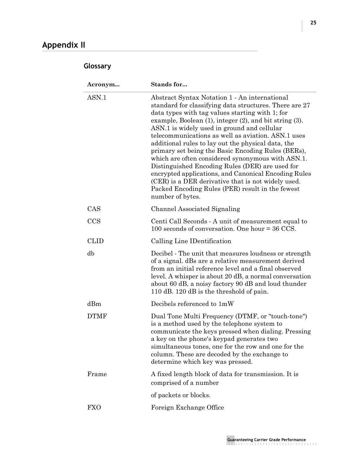## **Glossary**

| Acronym     | Stands for                                                                                                                                                                                                                                                                                                                                                                                                                                                                                                                                                                                                                                                                                                                                   |
|-------------|----------------------------------------------------------------------------------------------------------------------------------------------------------------------------------------------------------------------------------------------------------------------------------------------------------------------------------------------------------------------------------------------------------------------------------------------------------------------------------------------------------------------------------------------------------------------------------------------------------------------------------------------------------------------------------------------------------------------------------------------|
| ASN.1       | Abstract Syntax Notation 1 - An international<br>standard for classifying data structures. There are 27<br>data types with tag values starting with 1; for<br>example, Boolean $(1)$ , integer $(2)$ , and bit string $(3)$ .<br>ASN.1 is widely used in ground and cellular<br>telecommunications as well as aviation. ASN.1 uses<br>additional rules to lay out the physical data, the<br>primary set being the Basic Encoding Rules (BERs),<br>which are often considered synonymous with ASN.1.<br>Distinguished Encoding Rules (DER) are used for<br>encrypted applications, and Canonical Encoding Rules<br>(CER) is a DER derivative that is not widely used.<br>Packed Encoding Rules (PER) result in the fewest<br>number of bytes. |
| CAS         | Channel Associated Signaling                                                                                                                                                                                                                                                                                                                                                                                                                                                                                                                                                                                                                                                                                                                 |
| CCS         | Centi Call Seconds - A unit of measurement equal to<br>100 seconds of conversation. One hour $=$ 36 CCS.                                                                                                                                                                                                                                                                                                                                                                                                                                                                                                                                                                                                                                     |
| CLID        | Calling Line IDentification                                                                                                                                                                                                                                                                                                                                                                                                                                                                                                                                                                                                                                                                                                                  |
| db          | Decibel - The unit that measures loudness or strength<br>of a signal. dBs are a relative measurement derived<br>from an initial reference level and a final observed<br>level. A whisper is about 20 dB, a normal conversation<br>about 60 dB, a noisy factory 90 dB and loud thunder<br>110 dB. 120 dB is the threshold of pain.                                                                                                                                                                                                                                                                                                                                                                                                            |
| dBm         | Decibels referenced to 1mW                                                                                                                                                                                                                                                                                                                                                                                                                                                                                                                                                                                                                                                                                                                   |
| <b>DTMF</b> | Dual Tone Multi Frequency (DTMF, or "touch-tone")<br>is a method used by the telephone system to<br>communicate the keys pressed when dialing. Pressing<br>a key on the phone's keypad generates two<br>simultaneous tones, one for the row and one for the<br>column. These are decoded by the exchange to<br>determine which key was pressed.                                                                                                                                                                                                                                                                                                                                                                                              |
| Frame       | A fixed length block of data for transmission. It is<br>comprised of a number                                                                                                                                                                                                                                                                                                                                                                                                                                                                                                                                                                                                                                                                |
|             | of packets or blocks.                                                                                                                                                                                                                                                                                                                                                                                                                                                                                                                                                                                                                                                                                                                        |
| <b>FXO</b>  | Foreign Exchange Office                                                                                                                                                                                                                                                                                                                                                                                                                                                                                                                                                                                                                                                                                                                      |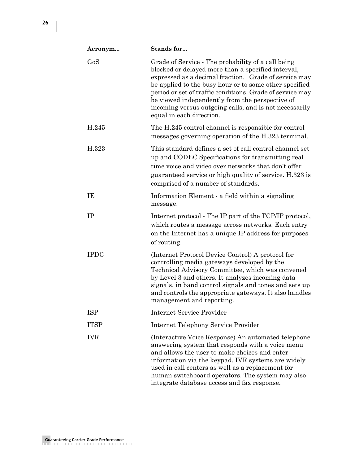| Acronym     | <b>Stands for</b>                                                                                                                                                                                                                                                                                                                                                                                                                 |
|-------------|-----------------------------------------------------------------------------------------------------------------------------------------------------------------------------------------------------------------------------------------------------------------------------------------------------------------------------------------------------------------------------------------------------------------------------------|
| GoS         | Grade of Service - The probability of a call being<br>blocked or delayed more than a specified interval,<br>expressed as a decimal fraction. Grade of service may<br>be applied to the busy hour or to some other specified<br>period or set of traffic conditions. Grade of service may<br>be viewed independently from the perspective of<br>incoming versus outgoing calls, and is not necessarily<br>equal in each direction. |
| H.245       | The H.245 control channel is responsible for control<br>messages governing operation of the H.323 terminal.                                                                                                                                                                                                                                                                                                                       |
| H.323       | This standard defines a set of call control channel set<br>up and CODEC Specifications for transmitting real<br>time voice and video over networks that don't offer<br>guaranteed service or high quality of service. H.323 is<br>comprised of a number of standards.                                                                                                                                                             |
| IE          | Information Element - a field within a signaling<br>message.                                                                                                                                                                                                                                                                                                                                                                      |
| IP          | Internet protocol - The IP part of the TCP/IP protocol,<br>which routes a message across networks. Each entry<br>on the Internet has a unique IP address for purposes<br>of routing.                                                                                                                                                                                                                                              |
| <b>IPDC</b> | (Internet Protocol Device Control) A protocol for<br>controlling media gateways developed by the<br>Technical Advisory Committee, which was convened<br>by Level 3 and others. It analyzes incoming data<br>signals, in band control signals and tones and sets up<br>and controls the appropriate gateways. It also handles<br>management and reporting.                                                                         |
| <b>ISP</b>  | <b>Internet Service Provider</b>                                                                                                                                                                                                                                                                                                                                                                                                  |
| <b>ITSP</b> | <b>Internet Telephony Service Provider</b>                                                                                                                                                                                                                                                                                                                                                                                        |
| <b>IVR</b>  | (Interactive Voice Response) An automated telephone<br>answering system that responds with a voice menu<br>and allows the user to make choices and enter<br>information via the keypad. IVR systems are widely<br>used in call centers as well as a replacement for<br>human switchboard operators. The system may also<br>integrate database access and fax response.                                                            |

ı ı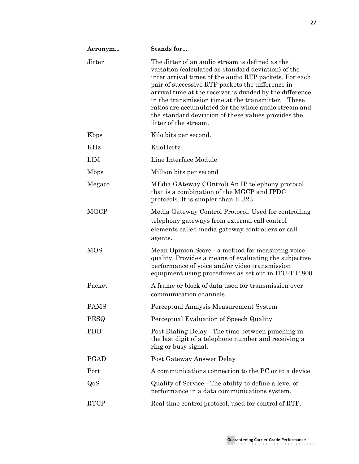| Acronym      | Stands for                                                                                                                                                                                                                                                                                                                                                                                                                                                                       |
|--------------|----------------------------------------------------------------------------------------------------------------------------------------------------------------------------------------------------------------------------------------------------------------------------------------------------------------------------------------------------------------------------------------------------------------------------------------------------------------------------------|
| Jitter       | The Jitter of an audio stream is defined as the<br>variation (calculated as standard deviation) of the<br>inter arrival times of the audio RTP packets. For each<br>pair of successive RTP packets the difference in<br>arrival time at the receiver is divided by the difference<br>in the transmission time at the transmitter. These<br>ratios are accumulated for the whole audio stream and<br>the standard deviation of these values provides the<br>jitter of the stream. |
| Kbps         | Kilo bits per second.                                                                                                                                                                                                                                                                                                                                                                                                                                                            |
| KHz          | KiloHertz                                                                                                                                                                                                                                                                                                                                                                                                                                                                        |
| <b>LIM</b>   | Line Interface Module                                                                                                                                                                                                                                                                                                                                                                                                                                                            |
| <b>M</b> bps | Million bits per second                                                                                                                                                                                                                                                                                                                                                                                                                                                          |
| Megaco       | MEdia GAteway COntrol) An IP telephony protocol<br>that is a combination of the MGCP and IPDC<br>protocols. It is simpler than H.323                                                                                                                                                                                                                                                                                                                                             |
| <b>MGCP</b>  | Media Gateway Control Protocol. Used for controlling<br>telephony gateways from external call control<br>elements called media gateway controllers or call<br>agents.                                                                                                                                                                                                                                                                                                            |
| <b>MOS</b>   | Mean Opinion Score - a method for measuring voice<br>quality. Provides a means of evaluating the subjective<br>performance of voice and/or video transmission<br>equipment using procedures as set out in ITU-T P.800                                                                                                                                                                                                                                                            |
| Packet       | A frame or block of data used for transmission over<br>communication channels.                                                                                                                                                                                                                                                                                                                                                                                                   |
| <b>PAMS</b>  | Perceptual Analysis Measurement System                                                                                                                                                                                                                                                                                                                                                                                                                                           |
| <b>PESQ</b>  | Perceptual Evaluation of Speech Quality.                                                                                                                                                                                                                                                                                                                                                                                                                                         |
| <b>PDD</b>   | Post Dialing Delay - The time between punching in<br>the last digit of a telephone number and receiving a<br>ring or busy signal.                                                                                                                                                                                                                                                                                                                                                |
| PGAD         | Post Gateway Answer Delay                                                                                                                                                                                                                                                                                                                                                                                                                                                        |
| Port         | A communications connection to the PC or to a device                                                                                                                                                                                                                                                                                                                                                                                                                             |
| QoS          | Quality of Service - The ability to define a level of<br>performance in a data communications system.                                                                                                                                                                                                                                                                                                                                                                            |
| <b>RTCP</b>  | Real time control protocol, used for control of RTP.                                                                                                                                                                                                                                                                                                                                                                                                                             |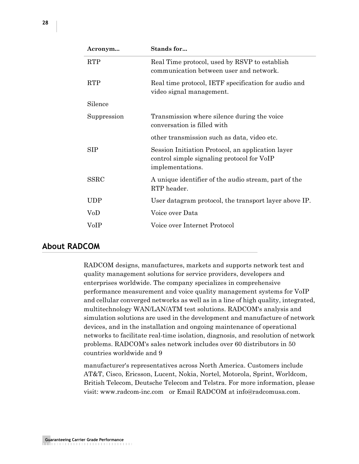| Acronym              | Stands for                                                                                                          |
|----------------------|---------------------------------------------------------------------------------------------------------------------|
| <b>RTP</b>           | Real Time protocol, used by RSVP to establish<br>communication between user and network.                            |
| <b>RTP</b>           | Real time protocol, IETF specification for audio and<br>video signal management.                                    |
| Silence              |                                                                                                                     |
| Suppression          | Transmission where silence during the voice<br>conversation is filled with                                          |
|                      | other transmission such as data, video etc.                                                                         |
| <b>SIP</b>           | Session Initiation Protocol, an application layer<br>control simple signaling protocol for VoIP<br>implementations. |
| <b>SSRC</b>          | A unique identifier of the audio stream, part of the<br>RTP header.                                                 |
| UDP                  | User datagram protocol, the transport layer above IP.                                                               |
| $\operatorname{VoD}$ | Voice over Data                                                                                                     |
| VoIP                 | Voice over Internet Protocol                                                                                        |
|                      |                                                                                                                     |

#### **About RADCOM**

RADCOM designs, manufactures, markets and supports network test and quality management solutions for service providers, developers and enterprises worldwide. The company specializes in comprehensive performance measurement and voice quality management systems for VoIP and cellular converged networks as well as in a line of high quality, integrated, multitechnology WAN/LAN/ATM test solutions. RADCOM's analysis and simulation solutions are used in the development and manufacture of network devices, and in the installation and ongoing maintenance of operational networks to facilitate real-time isolation, diagnosis, and resolution of network problems. RADCOM's sales network includes over 60 distributors in 50 countries worldwide and 9

manufacturer's representatives across North America. Customers include AT&T, Cisco, Ericsson, Lucent, Nokia, Nortel, Motorola, Sprint, Worldcom, British Telecom, Deutsche Telecom and Telstra. For more information, please visit: www.radcom-inc.com or Email RADCOM at info@radcomusa.com.